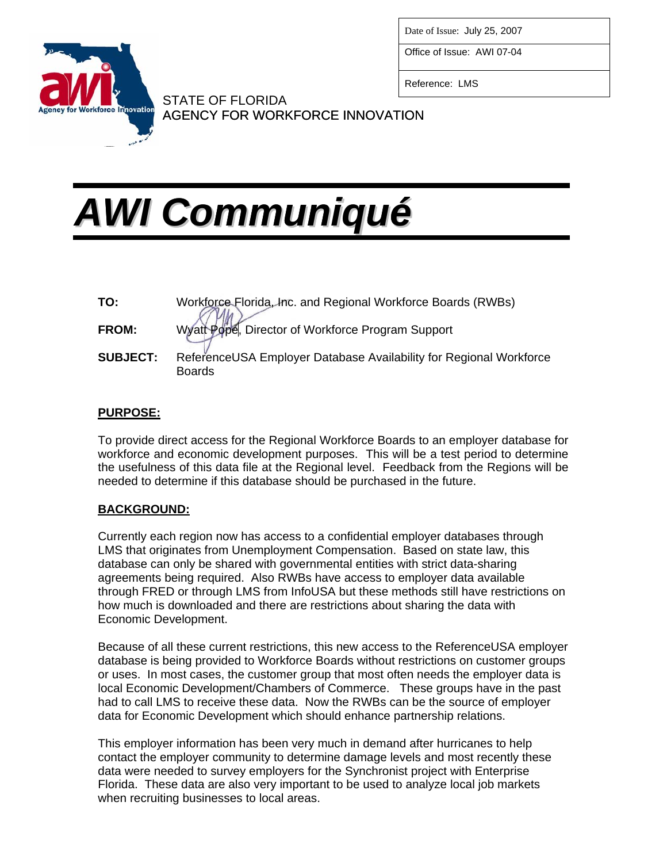

Date of Issue: July 25, 2007

Office of Issue: AWI 07-04

Reference: LMS

## STATE OF FLORIDA AGENCY FOR WORKFORCE INNOVATION

# *AWI Communiqué*

| TO:             | Workforce Florida, Inc. and Regional Workforce Boards (RWBs)                        |
|-----------------|-------------------------------------------------------------------------------------|
| <b>FROM:</b>    | Wyatt Pope, Director of Workforce Program Support                                   |
| <b>SUBJECT:</b> | ReferenceUSA Employer Database Availability for Regional Workforce<br><b>Boards</b> |

### **PURPOSE:**

To provide direct access for the Regional Workforce Boards to an employer database for workforce and economic development purposes. This will be a test period to determine the usefulness of this data file at the Regional level. Feedback from the Regions will be needed to determine if this database should be purchased in the future.

### **BACKGROUND:**

Currently each region now has access to a confidential employer databases through LMS that originates from Unemployment Compensation. Based on state law, this database can only be shared with governmental entities with strict data-sharing agreements being required. Also RWBs have access to employer data available through FRED or through LMS from InfoUSA but these methods still have restrictions on how much is downloaded and there are restrictions about sharing the data with Economic Development.

Because of all these current restrictions, this new access to the ReferenceUSA employer database is being provided to Workforce Boards without restrictions on customer groups or uses. In most cases, the customer group that most often needs the employer data is local Economic Development/Chambers of Commerce. These groups have in the past had to call LMS to receive these data. Now the RWBs can be the source of employer data for Economic Development which should enhance partnership relations.

This employer information has been very much in demand after hurricanes to help contact the employer community to determine damage levels and most recently these data were needed to survey employers for the Synchronist project with Enterprise Florida. These data are also very important to be used to analyze local job markets when recruiting businesses to local areas.